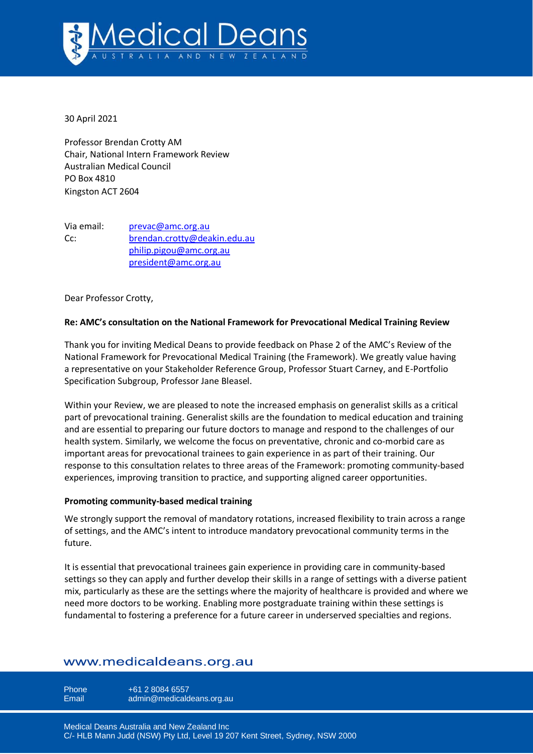

30 April 2021

Professor Brendan Crotty AM Chair, National Intern Framework Review Australian Medical Council PO Box 4810 Kingston ACT 2604

Via email: [prevac@amc.org.au](mailto:prevac@amc.org.au) Cc: [brendan.crotty@deakin.edu.au](mailto:brendan.crotty@deakin.edu.au) [philip.pigou@amc.org.au](mailto:philip.pigou@amc.org.au) [president@amc.org.au](mailto:president@amc.org.au)

Dear Professor Crotty,

## **Re: AMC's consultation on the National Framework for Prevocational Medical Training Review**

Thank you for inviting Medical Deans to provide feedback on Phase 2 of the AMC's Review of the National Framework for Prevocational Medical Training (the Framework). We greatly value having a representative on your Stakeholder Reference Group, Professor Stuart Carney, and E-Portfolio Specification Subgroup, Professor Jane Bleasel.

Within your Review, we are pleased to note the increased emphasis on generalist skills as a critical part of prevocational training. Generalist skills are the foundation to medical education and training and are essential to preparing our future doctors to manage and respond to the challenges of our health system. Similarly, we welcome the focus on preventative, chronic and co-morbid care as important areas for prevocational trainees to gain experience in as part of their training. Our response to this consultation relates to three areas of the Framework: promoting community-based experiences, improving transition to practice, and supporting aligned career opportunities.

## **Promoting community-based medical training**

We strongly support the removal of mandatory rotations, increased flexibility to train across a range of settings, and the AMC's intent to introduce mandatory prevocational community terms in the future.

It is essential that prevocational trainees gain experience in providing care in community-based settings so they can apply and further develop their skills in a range of settings with a diverse patient mix, particularly as these are the settings where the majority of healthcare is provided and where we need more doctors to be working. Enabling more postgraduate training within these settings is fundamental to fostering a preference for a future career in underserved specialties and regions.

# www.medicaldeans.org.au

Phone  $+61 2 8084 6557$ Email admin@medicaldeans.org.au

Medical Deans Australia and New Zealand Inc C/- HLB Mann Judd (NSW) Pty Ltd, Level 19 207 Kent Street, Sydney, NSW 2000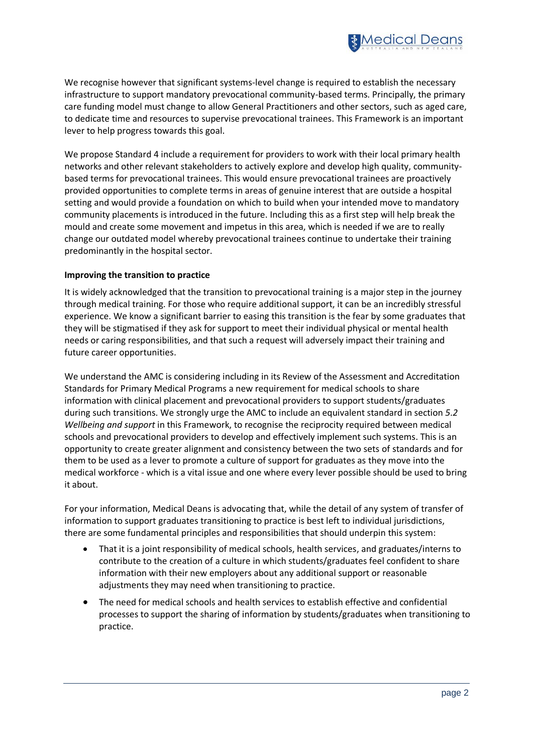

We recognise however that significant systems-level change is required to establish the necessary infrastructure to support mandatory prevocational community-based terms. Principally, the primary care funding model must change to allow General Practitioners and other sectors, such as aged care, to dedicate time and resources to supervise prevocational trainees. This Framework is an important lever to help progress towards this goal.

We propose Standard 4 include a requirement for providers to work with their local primary health networks and other relevant stakeholders to actively explore and develop high quality, communitybased terms for prevocational trainees. This would ensure prevocational trainees are proactively provided opportunities to complete terms in areas of genuine interest that are outside a hospital setting and would provide a foundation on which to build when your intended move to mandatory community placements is introduced in the future. Including this as a first step will help break the mould and create some movement and impetus in this area, which is needed if we are to really change our outdated model whereby prevocational trainees continue to undertake their training predominantly in the hospital sector.

#### **Improving the transition to practice**

It is widely acknowledged that the transition to prevocational training is a major step in the journey through medical training. For those who require additional support, it can be an incredibly stressful experience. We know a significant barrier to easing this transition is the fear by some graduates that they will be stigmatised if they ask for support to meet their individual physical or mental health needs or caring responsibilities, and that such a request will adversely impact their training and future career opportunities.

We understand the AMC is considering including in its Review of the Assessment and Accreditation Standards for Primary Medical Programs a new requirement for medical schools to share information with clinical placement and prevocational providers to support students/graduates during such transitions. We strongly urge the AMC to include an equivalent standard in section *5*.*2 Wellbeing and support* in this Framework, to recognise the reciprocity required between medical schools and prevocational providers to develop and effectively implement such systems. This is an opportunity to create greater alignment and consistency between the two sets of standards and for them to be used as a lever to promote a culture of support for graduates as they move into the medical workforce - which is a vital issue and one where every lever possible should be used to bring it about.

For your information, Medical Deans is advocating that, while the detail of any system of transfer of information to support graduates transitioning to practice is best left to individual jurisdictions, there are some fundamental principles and responsibilities that should underpin this system:

- That it is a joint responsibility of medical schools, health services, and graduates/interns to contribute to the creation of a culture in which students/graduates feel confident to share information with their new employers about any additional support or reasonable adjustments they may need when transitioning to practice.
- The need for medical schools and health services to establish effective and confidential processes to support the sharing of information by students/graduates when transitioning to practice.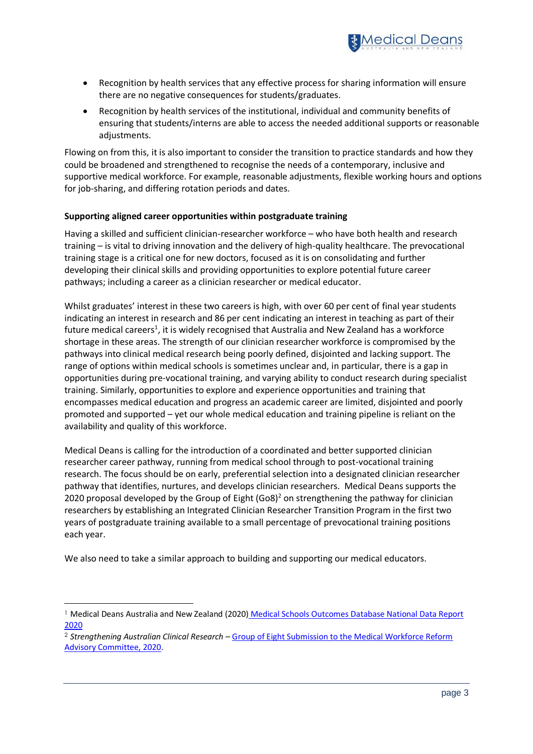

- Recognition by health services that any effective process for sharing information will ensure there are no negative consequences for students/graduates.
- Recognition by health services of the institutional, individual and community benefits of ensuring that students/interns are able to access the needed additional supports or reasonable adjustments.

Flowing on from this, it is also important to consider the transition to practice standards and how they could be broadened and strengthened to recognise the needs of a contemporary, inclusive and supportive medical workforce. For example, reasonable adjustments, flexible working hours and options for job-sharing, and differing rotation periods and dates.

## **Supporting aligned career opportunities within postgraduate training**

Having a skilled and sufficient clinician-researcher workforce – who have both health and research training – is vital to driving innovation and the delivery of high-quality healthcare. The prevocational training stage is a critical one for new doctors, focused as it is on consolidating and further developing their clinical skills and providing opportunities to explore potential future career pathways; including a career as a clinician researcher or medical educator.

Whilst graduates' interest in these two careers is high, with over 60 per cent of final year students indicating an interest in research and 86 per cent indicating an interest in teaching as part of their future medical careers<sup>1</sup>, it is widely recognised that Australia and New Zealand has a workforce shortage in these areas. The strength of our clinician researcher workforce is compromised by the pathways into clinical medical research being poorly defined, disjointed and lacking support. The range of options within medical schools is sometimes unclear and, in particular, there is a gap in opportunities during pre-vocational training, and varying ability to conduct research during specialist training. Similarly, opportunities to explore and experience opportunities and training that encompasses medical education and progress an academic career are limited, disjointed and poorly promoted and supported – yet our whole medical education and training pipeline is reliant on the availability and quality of this workforce.

Medical Deans is calling for the introduction of a coordinated and better supported clinician researcher career pathway, running from medical school through to post-vocational training research. The focus should be on early, preferential selection into a designated clinician researcher pathway that identifies, nurtures, and develops clinician researchers. Medical Deans supports the 2020 proposal developed by the Group of Eight  $(G \circ 8)^2$  on strengthening the pathway for clinician researchers by establishing an Integrated Clinician Researcher Transition Program in the first two years of postgraduate training available to a small percentage of prevocational training positions each year.

We also need to take a similar approach to building and supporting our medical educators.

<sup>1</sup> Medical Deans Australia and New Zealand (2020) [Medical Schools Outcomes Database National Data Report](https://medicaldeans.org.au/md/2020/08/2020-MSOD-National-Data-Report_2015-2019-Full-report.pdf)  [2020](https://medicaldeans.org.au/md/2020/08/2020-MSOD-National-Data-Report_2015-2019-Full-report.pdf)

<sup>2</sup> *Strengthening Australian Clinical Research* – [Group of Eight Submission to the Medical Workforce Reform](https://go8.edu.au/wp-content/uploads/2020/12/Go8-AICRTP-FINAL.pdf)  [Advisory Committee, 2020.](https://go8.edu.au/wp-content/uploads/2020/12/Go8-AICRTP-FINAL.pdf)